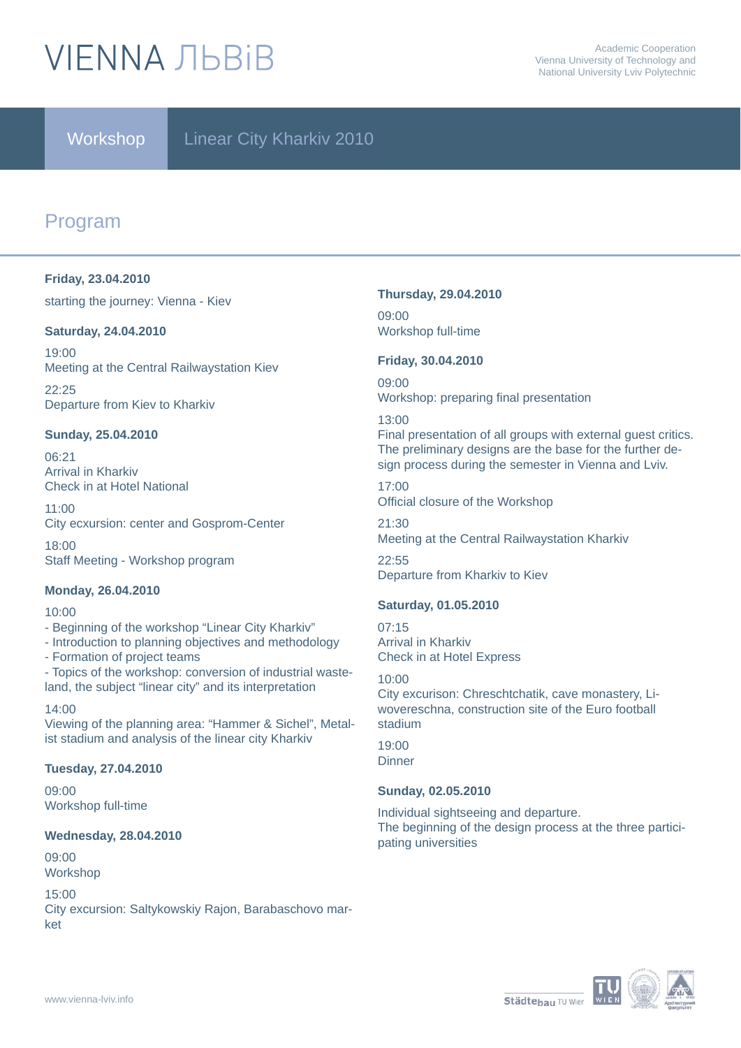# **VIFNNA JIBRIB**

### Workshop Linear City Kharkiv 2010

### Program

#### **Friday, 23.04.2010**

starting the journey: Vienna - Kiev

#### **Saturday, 24.04.2010**

19:00 Meeting at the Central Railwaystation Kiev

22:25 Departure from Kiev to Kharkiv

#### **Sunday, 25.04.2010**

06:21 Arrival in Kharkiv Check in at Hotel National

11:00 City ecxursion: center and Gosprom-Center

18:00 Staff Meeting - Workshop program

#### **Monday, 26.04.2010**

#### 10:00

- Beginning of the workshop "Linear City Kharkiv"
- Introduction to planning objectives and methodology
- Formation of project teams
- Topics of the workshop: conversion of industrial wasteland, the subject "linear city" and its interpretation

14:00 Viewing of the planning area: "Hammer & Sichel", Metalist stadium and analysis of the linear city Kharkiv

#### **Tuesday, 27.04.2010**

09:00 Workshop full-time

#### **Wednesday, 28.04.2010**

09:00 Workshop

#### 15:00

City excursion: Saltykowskiy Rajon, Barabaschovo market

#### **Thursday, 29.04.2010**

09:00 Workshop full-time

#### **Friday, 30.04.2010**

09:00 Workshop: preparing final presentation

#### 13:00

Final presentation of all groups with external guest critics. The preliminary designs are the base for the further design process during the semester in Vienna and Lviv.

17:00 Official closure of the Workshop

21:30 Meeting at the Central Railwaystation Kharkiv

 $22.55$ Departure from Kharkiv to Kiev

#### **Saturday, 01.05.2010**

07:15 Arrival in Kharkiv Check in at Hotel Express

#### 10:00

City excurison: Chreschtchatik, cave monastery, Liwovereschna, construction site of the Euro football stadium

19:00 **Dinner** 

#### **Sunday, 02.05.2010**

Individual sightseeing and departure. The beginning of the design process at the three participating universities